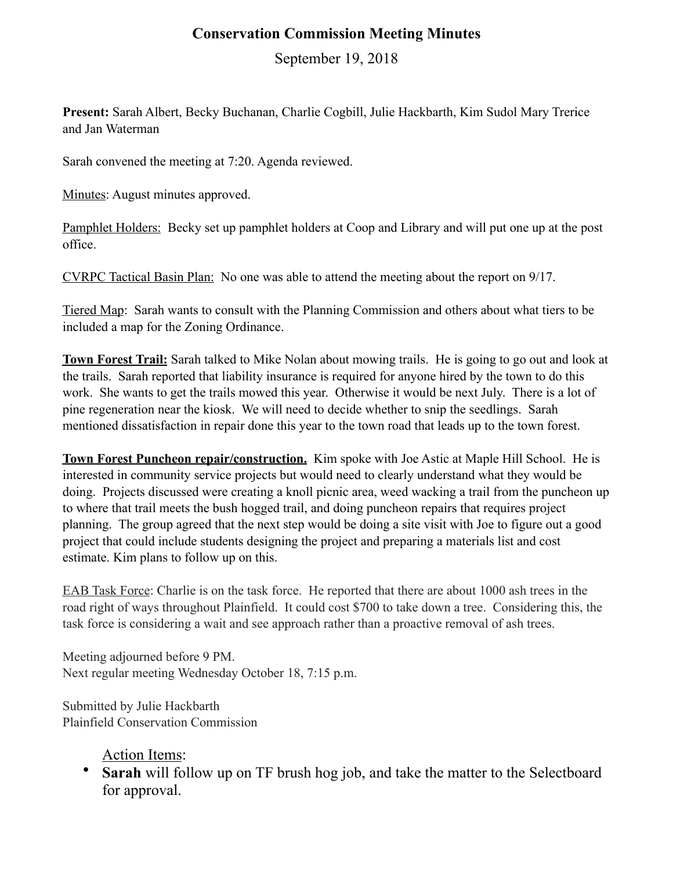## **Conservation Commission Meeting Minutes**

September 19, 2018

**Present:** Sarah Albert, Becky Buchanan, Charlie Cogbill, Julie Hackbarth, Kim Sudol Mary Trerice and Jan Waterman

Sarah convened the meeting at 7:20. Agenda reviewed.

Minutes: August minutes approved.

Pamphlet Holders: Becky set up pamphlet holders at Coop and Library and will put one up at the post office.

CVRPC Tactical Basin Plan: No one was able to attend the meeting about the report on 9/17.

Tiered Map: Sarah wants to consult with the Planning Commission and others about what tiers to be included a map for the Zoning Ordinance.

**Town Forest Trail:** Sarah talked to Mike Nolan about mowing trails. He is going to go out and look at the trails. Sarah reported that liability insurance is required for anyone hired by the town to do this work. She wants to get the trails mowed this year. Otherwise it would be next July. There is a lot of pine regeneration near the kiosk. We will need to decide whether to snip the seedlings. Sarah mentioned dissatisfaction in repair done this year to the town road that leads up to the town forest.

**Town Forest Puncheon repair/construction.** Kim spoke with Joe Astic at Maple Hill School. He is interested in community service projects but would need to clearly understand what they would be doing. Projects discussed were creating a knoll picnic area, weed wacking a trail from the puncheon up to where that trail meets the bush hogged trail, and doing puncheon repairs that requires project planning. The group agreed that the next step would be doing a site visit with Joe to figure out a good project that could include students designing the project and preparing a materials list and cost estimate. Kim plans to follow up on this.

EAB Task Force: Charlie is on the task force. He reported that there are about 1000 ash trees in the road right of ways throughout Plainfield. It could cost \$700 to take down a tree. Considering this, the task force is considering a wait and see approach rather than a proactive removal of ash trees.

Meeting adjourned before 9 PM. Next regular meeting Wednesday October 18, 7:15 p.m.

Submitted by Julie Hackbarth Plainfield Conservation Commission

Action Items:

• **Sarah** will follow up on TF brush hog job, and take the matter to the Selectboard for approval.